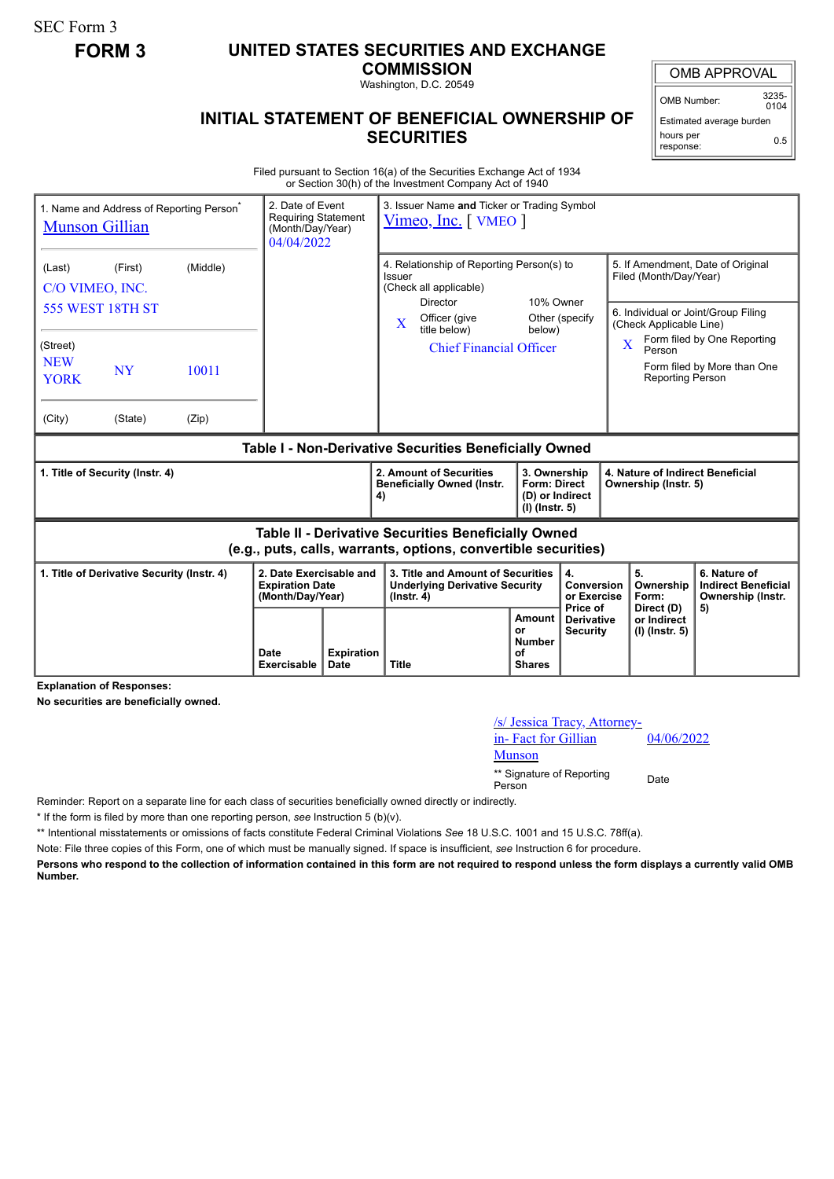SEC Form 3

## **FORM 3 UNITED STATES SECURITIES AND EXCHANGE**

**COMMISSION**

Washington, D.C. 20549

## **INITIAL STATEMENT OF BENEFICIAL OWNERSHIP OF SECURITIES**

OMB APPROVAL

OMB Number: 3235-  $0104$ 

Estimated average burden hours per response: 0.5

Filed pursuant to Section 16(a) of the Securities Exchange Act of 1934 or Section 30(h) of the Investment Company Act of 1940

| 1. Name and Address of Reporting Person <sup>®</sup><br><b>Munson Gillian</b>                                                | 2. Date of Event<br><b>Requiring Statement</b><br>(Month/Day/Year)<br>04/04/2022 |                           | 3. Issuer Name and Ticker or Trading Symbol<br>Vimeo, Inc. WMEO                                                                                           |                                                                            |                                       |                                                                                                                               |                                                                       |  |
|------------------------------------------------------------------------------------------------------------------------------|----------------------------------------------------------------------------------|---------------------------|-----------------------------------------------------------------------------------------------------------------------------------------------------------|----------------------------------------------------------------------------|---------------------------------------|-------------------------------------------------------------------------------------------------------------------------------|-----------------------------------------------------------------------|--|
| (Middle)<br>(Last)<br>(First)<br>C/O VIMEO, INC.<br><b>555 WEST 18TH ST</b>                                                  |                                                                                  |                           | 4. Relationship of Reporting Person(s) to<br>Issuer<br>(Check all applicable)<br>10% Owner<br>Director<br>Officer (give<br>Other (specify<br>$\mathbf{X}$ |                                                                            |                                       | 5. If Amendment, Date of Original<br>Filed (Month/Day/Year)<br>6. Individual or Joint/Group Filing<br>(Check Applicable Line) |                                                                       |  |
| (Street)<br><b>NEW</b><br><b>NY</b><br>10011<br><b>YORK</b><br>(City)<br>(State)<br>(Zip)                                    |                                                                                  |                           | title below)<br><b>Chief Financial Officer</b>                                                                                                            | below)                                                                     |                                       | $\overline{\mathbf{X}}$<br>Person<br><b>Reporting Person</b>                                                                  | Form filed by One Reporting<br>Form filed by More than One            |  |
| Table I - Non-Derivative Securities Beneficially Owned                                                                       |                                                                                  |                           |                                                                                                                                                           |                                                                            |                                       |                                                                                                                               |                                                                       |  |
| 1. Title of Security (Instr. 4)                                                                                              |                                                                                  |                           | 2. Amount of Securities<br><b>Beneficially Owned (Instr.</b><br>4)                                                                                        | 3. Ownership<br><b>Form: Direct</b><br>(D) or Indirect<br>$(I)$ (lnstr. 5) |                                       | 4. Nature of Indirect Beneficial<br>Ownership (Instr. 5)                                                                      |                                                                       |  |
| <b>Table II - Derivative Securities Beneficially Owned</b><br>(e.g., puts, calls, warrants, options, convertible securities) |                                                                                  |                           |                                                                                                                                                           |                                                                            |                                       |                                                                                                                               |                                                                       |  |
| 1. Title of Derivative Security (Instr. 4)<br>2. Date Exercisable and<br><b>Expiration Date</b><br>(Month/Day/Year)          |                                                                                  |                           | 3. Title and Amount of Securities<br>4.<br><b>Underlying Derivative Security</b><br>$($ lnstr. 4 $)$                                                      |                                                                            | Conversion<br>or Exercise<br>Price of | 5.<br>Ownership<br>Form:<br>Direct (D)                                                                                        | 6. Nature of<br><b>Indirect Beneficial</b><br>Ownership (Instr.<br>5) |  |
|                                                                                                                              | Date                                                                             | <b>Expiration</b><br>Date | <b>Title</b>                                                                                                                                              | Amount<br>or<br><b>Number</b><br>of                                        | <b>Derivative</b><br><b>Security</b>  | or Indirect<br>(I) (Instr. 5)                                                                                                 |                                                                       |  |

**Explanation of Responses:**

**No securities are beneficially owned.**

/s/ Jessica Tracy, Attorneyin- Fact for Gillian Munson

04/06/2022

\*\* Signature of Reporting <sub>Date</sub><br>Person

Reminder: Report on a separate line for each class of securities beneficially owned directly or indirectly.

\* If the form is filed by more than one reporting person, *see* Instruction 5 (b)(v).

\*\* Intentional misstatements or omissions of facts constitute Federal Criminal Violations *See* 18 U.S.C. 1001 and 15 U.S.C. 78ff(a).

Note: File three copies of this Form, one of which must be manually signed. If space is insufficient, *see* Instruction 6 for procedure.

**Persons who respond to the collection of information contained in this form are not required to respond unless the form displays a currently valid OMB Number.**